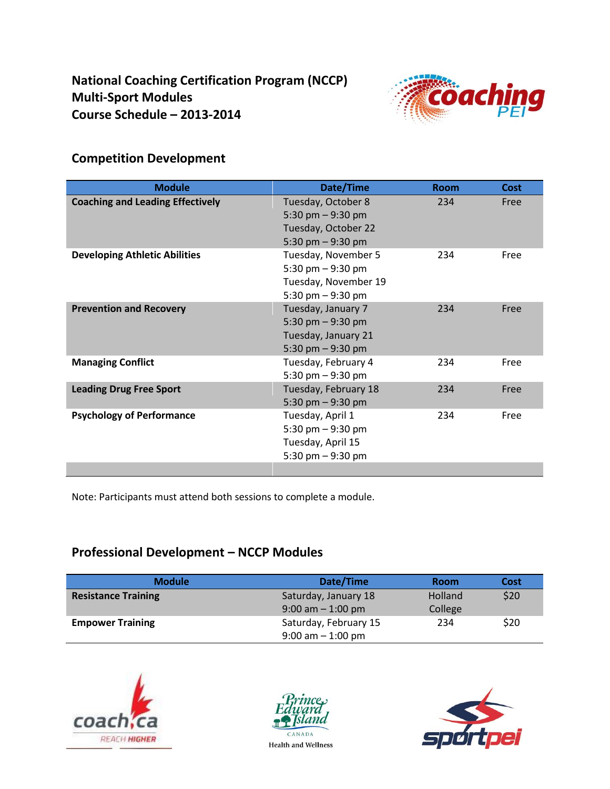

# **Competition Development**

| <b>Module</b>                           | Date/Time                                                                               | <b>Room</b> | Cost |
|-----------------------------------------|-----------------------------------------------------------------------------------------|-------------|------|
| <b>Coaching and Leading Effectively</b> | Tuesday, October 8<br>5:30 pm $-9:30$ pm<br>Tuesday, October 22<br>5:30 pm $-9:30$ pm   | 234         | Free |
| <b>Developing Athletic Abilities</b>    | Tuesday, November 5<br>5:30 pm $-9:30$ pm<br>Tuesday, November 19<br>5:30 pm $-9:30$ pm | 234         | Free |
| <b>Prevention and Recovery</b>          | Tuesday, January 7<br>5:30 pm $-9:30$ pm<br>Tuesday, January 21<br>5:30 pm $-9:30$ pm   | 234         | Free |
| <b>Managing Conflict</b>                | Tuesday, February 4<br>5:30 pm $-9:30$ pm                                               | 234         | Free |
| <b>Leading Drug Free Sport</b>          | Tuesday, February 18<br>5:30 pm $-9:30$ pm                                              | 234         | Free |
| <b>Psychology of Performance</b>        | Tuesday, April 1<br>5:30 pm $-9:30$ pm<br>Tuesday, April 15<br>5:30 pm $-9:30$ pm       | 234         | Free |

Note: Participants must attend both sessions to complete a module.

### **Professional Development – NCCP Modules**

| <b>Module</b>              | Date/Time             | <b>Room</b> | Cost |
|----------------------------|-----------------------|-------------|------|
| <b>Resistance Training</b> | Saturday, January 18  | Holland     | \$20 |
|                            | $9:00$ am $-1:00$ pm  | College     |      |
| <b>Empower Training</b>    | Saturday, February 15 | 234         | \$20 |
|                            | $9:00$ am $-1:00$ pm  |             |      |